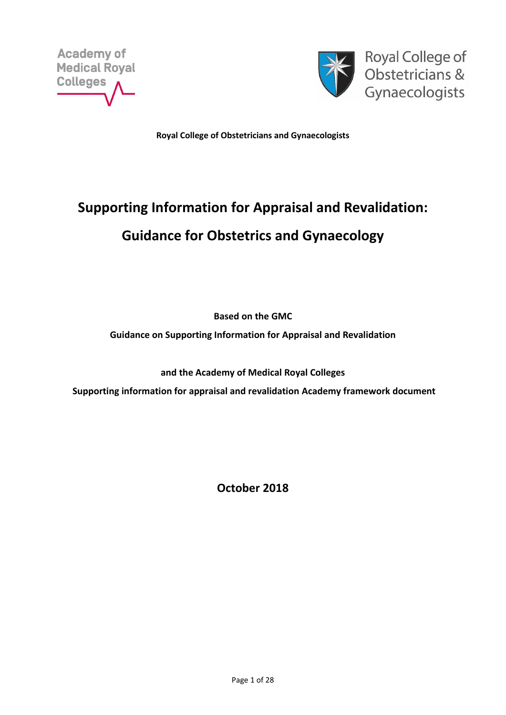



Royal College of Obstetricians & Gynaecologists

**Royal College of Obstetricians and Gynaecologists**

# **Supporting Information for Appraisal and Revalidation: Guidance for Obstetrics and Gynaecology**

**Based on the GMC**

**Guidance on Supporting Information for Appraisal and Revalidation** 

**and the Academy of Medical Royal Colleges** 

**Supporting information for appraisal and revalidation Academy framework document**

**October 2018**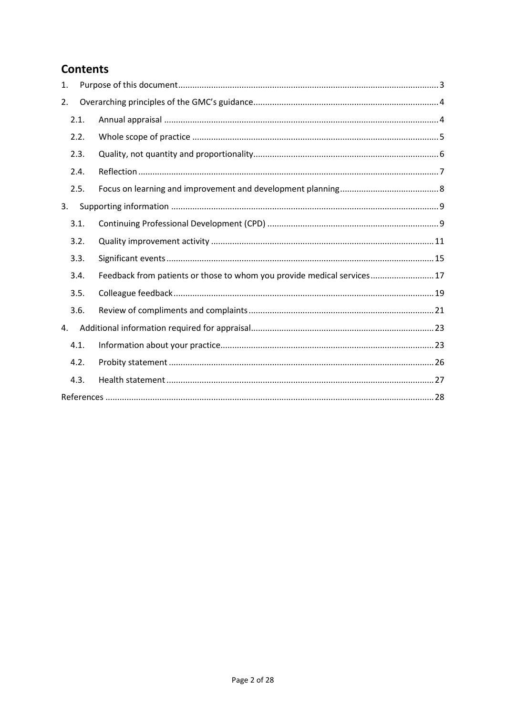# **Contents**

| 1. |      |                                                                        |  |
|----|------|------------------------------------------------------------------------|--|
| 2. |      |                                                                        |  |
|    | 2.1. |                                                                        |  |
|    | 2.2. |                                                                        |  |
|    | 2.3. |                                                                        |  |
|    | 2.4. |                                                                        |  |
|    | 2.5. |                                                                        |  |
| 3. |      |                                                                        |  |
|    | 3.1. |                                                                        |  |
|    | 3.2. |                                                                        |  |
|    | 3.3. |                                                                        |  |
|    | 3.4. | Feedback from patients or those to whom you provide medical services17 |  |
|    | 3.5. |                                                                        |  |
|    | 3.6. |                                                                        |  |
| 4. |      |                                                                        |  |
|    | 4.1. |                                                                        |  |
|    | 4.2. |                                                                        |  |
|    | 4.3. |                                                                        |  |
|    |      |                                                                        |  |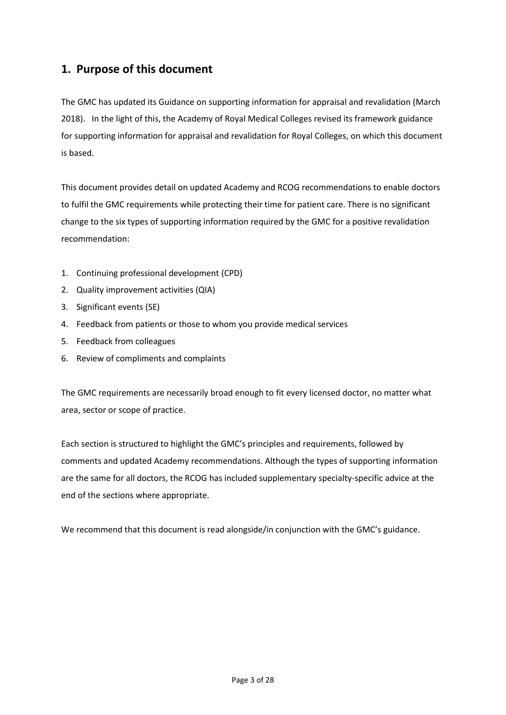# <span id="page-2-0"></span>**1. Purpose of this document**

The GMC has updated its Guidance on supporting information for appraisal and revalidation (March 2018). In the light of this, the Academy of Royal Medical Colleges revised its framework guidance for supporting information for appraisal and revalidation for Royal Colleges, on which this document is based.

This document provides detail on updated Academy and RCOG recommendations to enable doctors to fulfil the GMC requirements while protecting their time for patient care. There is no significant change to the six types of supporting information required by the GMC for a positive revalidation recommendation:

- 1. Continuing professional development (CPD)
- 2. Quality improvement activities (QIA)
- 3. Significant events (SE)
- 4. Feedback from patients or those to whom you provide medical services
- 5. Feedback from colleagues
- 6. Review of compliments and complaints

The GMC requirements are necessarily broad enough to fit every licensed doctor, no matter what area, sector or scope of practice.

Each section is structured to highlight the GMC's principles and requirements, followed by comments and updated Academy recommendations. Although the types of supporting information are the same for all doctors, the RCOG has included supplementary specialty-specific advice at the end of the sections where appropriate.

We recommend that this document is read alongside/in conjunction with the GMC's guidance.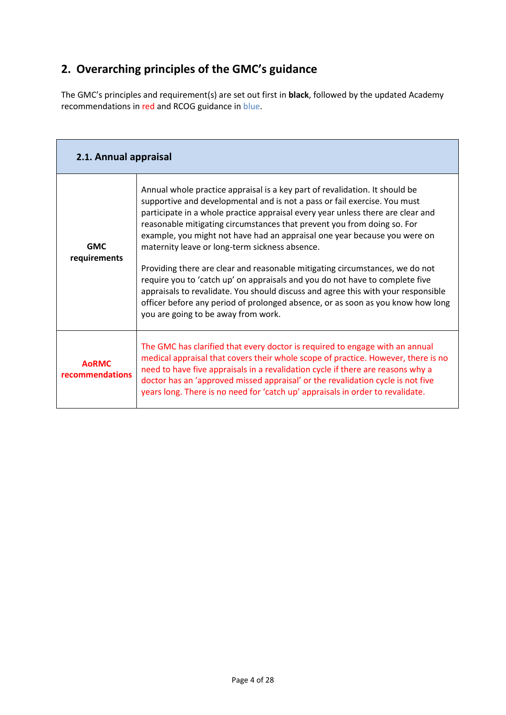# <span id="page-3-0"></span>**2. Overarching principles of the GMC's guidance**

The GMC's principles and requirement(s) are set out first in **black**, followed by the updated Academy recommendations in red and RCOG guidance in blue.

<span id="page-3-2"></span><span id="page-3-1"></span>

| 2.1. Annual appraisal           |                                                                                                                                                                                                                                                                                                                                                                                                                                                                                                                                                                                                                                                                                                                                                                                                                                      |  |
|---------------------------------|--------------------------------------------------------------------------------------------------------------------------------------------------------------------------------------------------------------------------------------------------------------------------------------------------------------------------------------------------------------------------------------------------------------------------------------------------------------------------------------------------------------------------------------------------------------------------------------------------------------------------------------------------------------------------------------------------------------------------------------------------------------------------------------------------------------------------------------|--|
| <b>GMC</b><br>requirements      | Annual whole practice appraisal is a key part of revalidation. It should be<br>supportive and developmental and is not a pass or fail exercise. You must<br>participate in a whole practice appraisal every year unless there are clear and<br>reasonable mitigating circumstances that prevent you from doing so. For<br>example, you might not have had an appraisal one year because you were on<br>maternity leave or long-term sickness absence.<br>Providing there are clear and reasonable mitigating circumstances, we do not<br>require you to 'catch up' on appraisals and you do not have to complete five<br>appraisals to revalidate. You should discuss and agree this with your responsible<br>officer before any period of prolonged absence, or as soon as you know how long<br>you are going to be away from work. |  |
| <b>AoRMC</b><br>recommendations | The GMC has clarified that every doctor is required to engage with an annual<br>medical appraisal that covers their whole scope of practice. However, there is no<br>need to have five appraisals in a revalidation cycle if there are reasons why a<br>doctor has an 'approved missed appraisal' or the revalidation cycle is not five<br>years long. There is no need for 'catch up' appraisals in order to revalidate.                                                                                                                                                                                                                                                                                                                                                                                                            |  |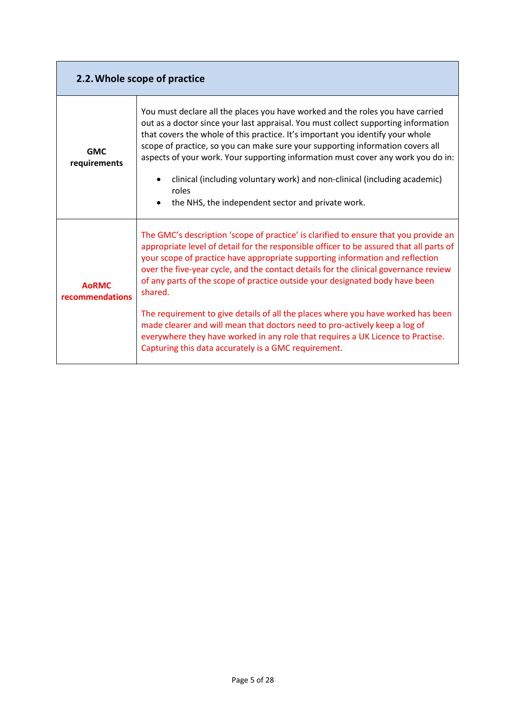<span id="page-4-0"></span>

|                                 | 2.2. Whole scope of practice                                                                                                                                                                                                                                                                                                                                                                                                                                                                                                                                                                                                                                                                                                                                     |  |
|---------------------------------|------------------------------------------------------------------------------------------------------------------------------------------------------------------------------------------------------------------------------------------------------------------------------------------------------------------------------------------------------------------------------------------------------------------------------------------------------------------------------------------------------------------------------------------------------------------------------------------------------------------------------------------------------------------------------------------------------------------------------------------------------------------|--|
| <b>GMC</b><br>requirements      | You must declare all the places you have worked and the roles you have carried<br>out as a doctor since your last appraisal. You must collect supporting information<br>that covers the whole of this practice. It's important you identify your whole<br>scope of practice, so you can make sure your supporting information covers all<br>aspects of your work. Your supporting information must cover any work you do in:<br>clinical (including voluntary work) and non-clinical (including academic)<br>roles<br>the NHS, the independent sector and private work.                                                                                                                                                                                          |  |
| <b>AoRMC</b><br>recommendations | The GMC's description 'scope of practice' is clarified to ensure that you provide an<br>appropriate level of detail for the responsible officer to be assured that all parts of<br>your scope of practice have appropriate supporting information and reflection<br>over the five-year cycle, and the contact details for the clinical governance review<br>of any parts of the scope of practice outside your designated body have been<br>shared.<br>The requirement to give details of all the places where you have worked has been<br>made clearer and will mean that doctors need to pro-actively keep a log of<br>everywhere they have worked in any role that requires a UK Licence to Practise.<br>Capturing this data accurately is a GMC requirement. |  |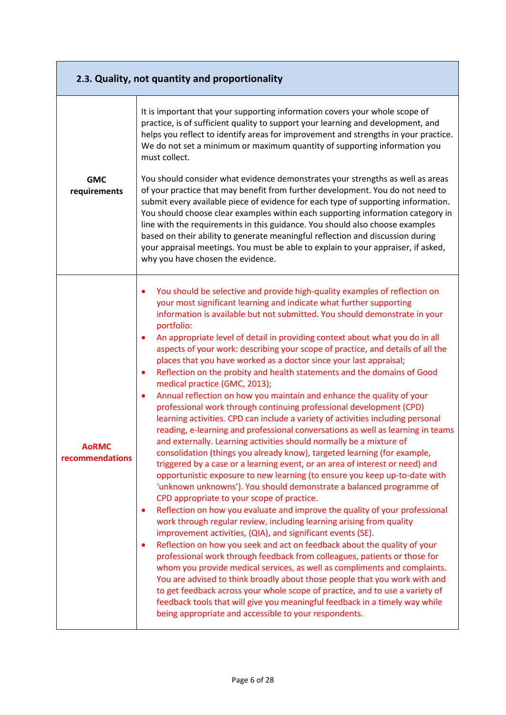<span id="page-5-0"></span>

| 2.3. Quality, not quantity and proportionality |                                                                                                                                                                                                                                                                                                                                                                                                                                                                                                                                                                                                                                                                                                                                                                                                                                                                                                                                                                                                                                                                                                                                                                                                                                                                                                                                                                                                                                                                                                                                                                                                                                                                                                                                                                                                                                                                                                                                                                                                                                                                                                                                                                                           |  |  |
|------------------------------------------------|-------------------------------------------------------------------------------------------------------------------------------------------------------------------------------------------------------------------------------------------------------------------------------------------------------------------------------------------------------------------------------------------------------------------------------------------------------------------------------------------------------------------------------------------------------------------------------------------------------------------------------------------------------------------------------------------------------------------------------------------------------------------------------------------------------------------------------------------------------------------------------------------------------------------------------------------------------------------------------------------------------------------------------------------------------------------------------------------------------------------------------------------------------------------------------------------------------------------------------------------------------------------------------------------------------------------------------------------------------------------------------------------------------------------------------------------------------------------------------------------------------------------------------------------------------------------------------------------------------------------------------------------------------------------------------------------------------------------------------------------------------------------------------------------------------------------------------------------------------------------------------------------------------------------------------------------------------------------------------------------------------------------------------------------------------------------------------------------------------------------------------------------------------------------------------------------|--|--|
|                                                | It is important that your supporting information covers your whole scope of<br>practice, is of sufficient quality to support your learning and development, and<br>helps you reflect to identify areas for improvement and strengths in your practice.<br>We do not set a minimum or maximum quantity of supporting information you<br>must collect.                                                                                                                                                                                                                                                                                                                                                                                                                                                                                                                                                                                                                                                                                                                                                                                                                                                                                                                                                                                                                                                                                                                                                                                                                                                                                                                                                                                                                                                                                                                                                                                                                                                                                                                                                                                                                                      |  |  |
| <b>GMC</b><br>requirements                     | You should consider what evidence demonstrates your strengths as well as areas<br>of your practice that may benefit from further development. You do not need to<br>submit every available piece of evidence for each type of supporting information.<br>You should choose clear examples within each supporting information category in<br>line with the requirements in this guidance. You should also choose examples<br>based on their ability to generate meaningful reflection and discussion during<br>your appraisal meetings. You must be able to explain to your appraiser, if asked,<br>why you have chosen the evidence.                                                                                                                                                                                                                                                                                                                                                                                                                                                                                                                                                                                                                                                                                                                                                                                                                                                                                                                                                                                                                                                                                                                                                                                                                                                                                                                                                                                                                                                                                                                                                      |  |  |
| AoRMC<br>recommendations                       | You should be selective and provide high-quality examples of reflection on<br>your most significant learning and indicate what further supporting<br>information is available but not submitted. You should demonstrate in your<br>portfolio:<br>An appropriate level of detail in providing context about what you do in all<br>٠<br>aspects of your work: describing your scope of practice, and details of all the<br>places that you have worked as a doctor since your last appraisal;<br>Reflection on the probity and health statements and the domains of Good<br>$\bullet$<br>medical practice (GMC, 2013);<br>Annual reflection on how you maintain and enhance the quality of your<br>$\bullet$<br>professional work through continuing professional development (CPD)<br>learning activities. CPD can include a variety of activities including personal<br>reading, e-learning and professional conversations as well as learning in teams<br>and externally. Learning activities should normally be a mixture of<br>consolidation (things you already know), targeted learning (for example,<br>triggered by a case or a learning event, or an area of interest or need) and<br>opportunistic exposure to new learning (to ensure you keep up-to-date with<br>'unknown unknowns'). You should demonstrate a balanced programme of<br>CPD appropriate to your scope of practice.<br>Reflection on how you evaluate and improve the quality of your professional<br>$\bullet$<br>work through regular review, including learning arising from quality<br>improvement activities, (QIA), and significant events (SE).<br>Reflection on how you seek and act on feedback about the quality of your<br>$\bullet$<br>professional work through feedback from colleagues, patients or those for<br>whom you provide medical services, as well as compliments and complaints.<br>You are advised to think broadly about those people that you work with and<br>to get feedback across your whole scope of practice, and to use a variety of<br>feedback tools that will give you meaningful feedback in a timely way while<br>being appropriate and accessible to your respondents. |  |  |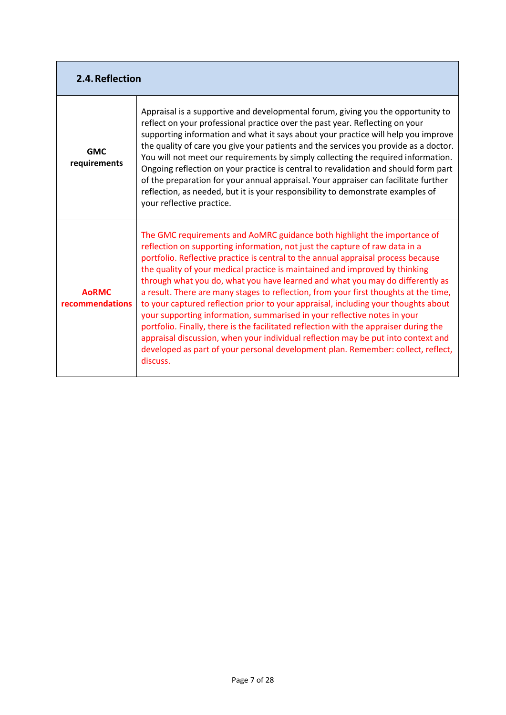<span id="page-6-0"></span>

| 2.4. Reflection                 |                                                                                                                                                                                                                                                                                                                                                                                                                                                                                                                                                                                                                                                                                                                                                                                                                                                                                                                                                      |
|---------------------------------|------------------------------------------------------------------------------------------------------------------------------------------------------------------------------------------------------------------------------------------------------------------------------------------------------------------------------------------------------------------------------------------------------------------------------------------------------------------------------------------------------------------------------------------------------------------------------------------------------------------------------------------------------------------------------------------------------------------------------------------------------------------------------------------------------------------------------------------------------------------------------------------------------------------------------------------------------|
| <b>GMC</b><br>requirements      | Appraisal is a supportive and developmental forum, giving you the opportunity to<br>reflect on your professional practice over the past year. Reflecting on your<br>supporting information and what it says about your practice will help you improve<br>the quality of care you give your patients and the services you provide as a doctor.<br>You will not meet our requirements by simply collecting the required information.<br>Ongoing reflection on your practice is central to revalidation and should form part<br>of the preparation for your annual appraisal. Your appraiser can facilitate further<br>reflection, as needed, but it is your responsibility to demonstrate examples of<br>your reflective practice.                                                                                                                                                                                                                     |
| <b>AoRMC</b><br>recommendations | The GMC requirements and AoMRC guidance both highlight the importance of<br>reflection on supporting information, not just the capture of raw data in a<br>portfolio. Reflective practice is central to the annual appraisal process because<br>the quality of your medical practice is maintained and improved by thinking<br>through what you do, what you have learned and what you may do differently as<br>a result. There are many stages to reflection, from your first thoughts at the time,<br>to your captured reflection prior to your appraisal, including your thoughts about<br>your supporting information, summarised in your reflective notes in your<br>portfolio. Finally, there is the facilitated reflection with the appraiser during the<br>appraisal discussion, when your individual reflection may be put into context and<br>developed as part of your personal development plan. Remember: collect, reflect,<br>discuss. |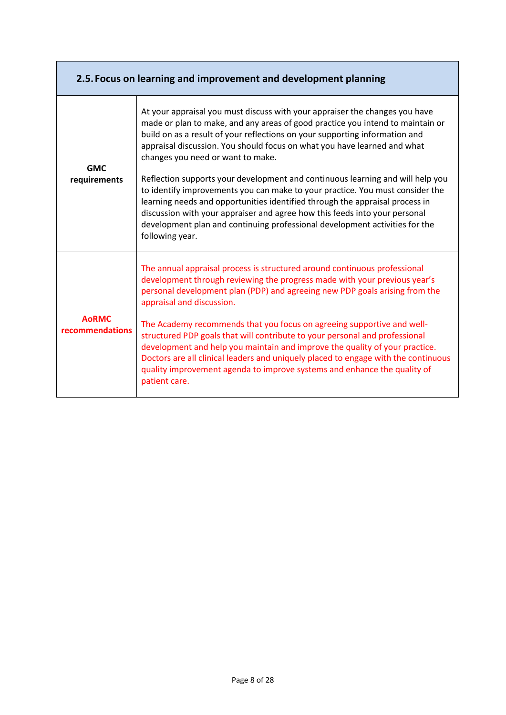<span id="page-7-0"></span>

|                                 | 2.5. Focus on learning and improvement and development planning                                                                                                                                                                                                                                                                                                                                                                                                                                                                                                                                                                                                                                                                                                                                  |
|---------------------------------|--------------------------------------------------------------------------------------------------------------------------------------------------------------------------------------------------------------------------------------------------------------------------------------------------------------------------------------------------------------------------------------------------------------------------------------------------------------------------------------------------------------------------------------------------------------------------------------------------------------------------------------------------------------------------------------------------------------------------------------------------------------------------------------------------|
| <b>GMC</b><br>requirements      | At your appraisal you must discuss with your appraiser the changes you have<br>made or plan to make, and any areas of good practice you intend to maintain or<br>build on as a result of your reflections on your supporting information and<br>appraisal discussion. You should focus on what you have learned and what<br>changes you need or want to make.<br>Reflection supports your development and continuous learning and will help you<br>to identify improvements you can make to your practice. You must consider the<br>learning needs and opportunities identified through the appraisal process in<br>discussion with your appraiser and agree how this feeds into your personal<br>development plan and continuing professional development activities for the<br>following year. |
| <b>AORMC</b><br>recommendations | The annual appraisal process is structured around continuous professional<br>development through reviewing the progress made with your previous year's<br>personal development plan (PDP) and agreeing new PDP goals arising from the<br>appraisal and discussion.<br>The Academy recommends that you focus on agreeing supportive and well-<br>structured PDP goals that will contribute to your personal and professional<br>development and help you maintain and improve the quality of your practice.<br>Doctors are all clinical leaders and uniquely placed to engage with the continuous<br>quality improvement agenda to improve systems and enhance the quality of<br>patient care.                                                                                                    |

÷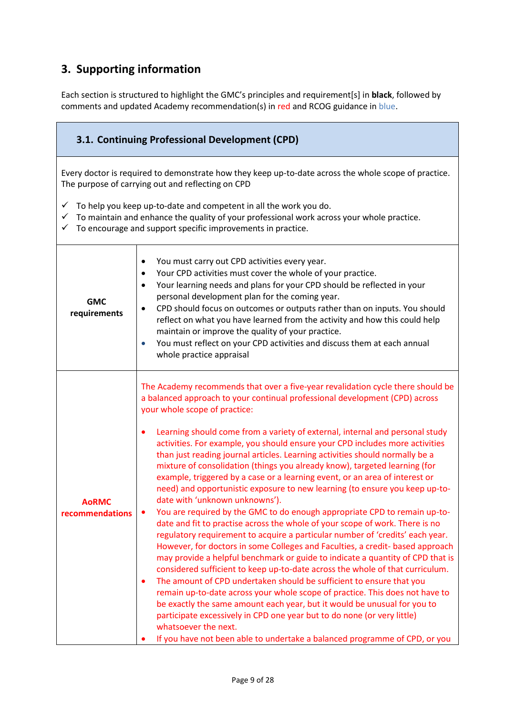# **3. Supporting information**

Each section is structured to highlight the GMC's principles and requirement[s] in **black**, followed by comments and updated Academy recommendation(s) in red and RCOG guidance in blue.

<span id="page-8-0"></span>

| 3.1. Continuing Professional Development (CPD)                                                                                                                                                                                                                                                                                                                                                                                                                                                                                                                                                                                                                |                                                                                                                                                                                                                                                                                                                                                                                                                                                                                                                                                                                                                                                                                                                                                                                                                                                                                                                                                                                                                                                                                                                                                                                                                                                                                                                                                                                                                                                                                                                                                                                                                                                                                |  |  |  |
|---------------------------------------------------------------------------------------------------------------------------------------------------------------------------------------------------------------------------------------------------------------------------------------------------------------------------------------------------------------------------------------------------------------------------------------------------------------------------------------------------------------------------------------------------------------------------------------------------------------------------------------------------------------|--------------------------------------------------------------------------------------------------------------------------------------------------------------------------------------------------------------------------------------------------------------------------------------------------------------------------------------------------------------------------------------------------------------------------------------------------------------------------------------------------------------------------------------------------------------------------------------------------------------------------------------------------------------------------------------------------------------------------------------------------------------------------------------------------------------------------------------------------------------------------------------------------------------------------------------------------------------------------------------------------------------------------------------------------------------------------------------------------------------------------------------------------------------------------------------------------------------------------------------------------------------------------------------------------------------------------------------------------------------------------------------------------------------------------------------------------------------------------------------------------------------------------------------------------------------------------------------------------------------------------------------------------------------------------------|--|--|--|
| Every doctor is required to demonstrate how they keep up-to-date across the whole scope of practice.<br>The purpose of carrying out and reflecting on CPD                                                                                                                                                                                                                                                                                                                                                                                                                                                                                                     |                                                                                                                                                                                                                                                                                                                                                                                                                                                                                                                                                                                                                                                                                                                                                                                                                                                                                                                                                                                                                                                                                                                                                                                                                                                                                                                                                                                                                                                                                                                                                                                                                                                                                |  |  |  |
| To help you keep up-to-date and competent in all the work you do.<br>✓<br>To maintain and enhance the quality of your professional work across your whole practice.<br>To encourage and support specific improvements in practice.<br>✓                                                                                                                                                                                                                                                                                                                                                                                                                       |                                                                                                                                                                                                                                                                                                                                                                                                                                                                                                                                                                                                                                                                                                                                                                                                                                                                                                                                                                                                                                                                                                                                                                                                                                                                                                                                                                                                                                                                                                                                                                                                                                                                                |  |  |  |
| You must carry out CPD activities every year.<br>$\bullet$<br>Your CPD activities must cover the whole of your practice.<br>$\bullet$<br>Your learning needs and plans for your CPD should be reflected in your<br>$\bullet$<br>personal development plan for the coming year.<br><b>GMC</b><br>CPD should focus on outcomes or outputs rather than on inputs. You should<br>$\bullet$<br>requirements<br>reflect on what you have learned from the activity and how this could help<br>maintain or improve the quality of your practice.<br>You must reflect on your CPD activities and discuss them at each annual<br>$\bullet$<br>whole practice appraisal |                                                                                                                                                                                                                                                                                                                                                                                                                                                                                                                                                                                                                                                                                                                                                                                                                                                                                                                                                                                                                                                                                                                                                                                                                                                                                                                                                                                                                                                                                                                                                                                                                                                                                |  |  |  |
| <b>AoRMC</b><br>recommendations                                                                                                                                                                                                                                                                                                                                                                                                                                                                                                                                                                                                                               | The Academy recommends that over a five-year revalidation cycle there should be<br>a balanced approach to your continual professional development (CPD) across<br>your whole scope of practice:<br>Learning should come from a variety of external, internal and personal study<br>$\bullet$<br>activities. For example, you should ensure your CPD includes more activities<br>than just reading journal articles. Learning activities should normally be a<br>mixture of consolidation (things you already know), targeted learning (for<br>example, triggered by a case or a learning event, or an area of interest or<br>need) and opportunistic exposure to new learning (to ensure you keep up-to-<br>date with 'unknown unknowns').<br>You are required by the GMC to do enough appropriate CPD to remain up-to-<br>date and fit to practise across the whole of your scope of work. There is no<br>regulatory requirement to acquire a particular number of 'credits' each year.<br>However, for doctors in some Colleges and Faculties, a credit- based approach<br>may provide a helpful benchmark or guide to indicate a quantity of CPD that is<br>considered sufficient to keep up-to-date across the whole of that curriculum.<br>The amount of CPD undertaken should be sufficient to ensure that you<br>$\bullet$<br>remain up-to-date across your whole scope of practice. This does not have to<br>be exactly the same amount each year, but it would be unusual for you to<br>participate excessively in CPD one year but to do none (or very little)<br>whatsoever the next.<br>If you have not been able to undertake a balanced programme of CPD, or you |  |  |  |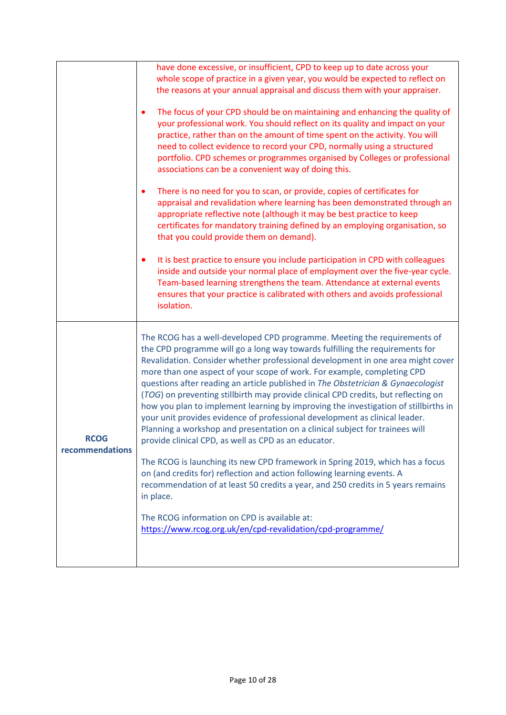<span id="page-9-0"></span>

|                         | have done excessive, or insufficient, CPD to keep up to date across your<br>whole scope of practice in a given year, you would be expected to reflect on<br>the reasons at your annual appraisal and discuss them with your appraiser.                                                                                                                                                                                                                                                                                                                                                                                                                                                                                                                                                                         |
|-------------------------|----------------------------------------------------------------------------------------------------------------------------------------------------------------------------------------------------------------------------------------------------------------------------------------------------------------------------------------------------------------------------------------------------------------------------------------------------------------------------------------------------------------------------------------------------------------------------------------------------------------------------------------------------------------------------------------------------------------------------------------------------------------------------------------------------------------|
|                         | The focus of your CPD should be on maintaining and enhancing the quality of<br>$\bullet$<br>your professional work. You should reflect on its quality and impact on your<br>practice, rather than on the amount of time spent on the activity. You will<br>need to collect evidence to record your CPD, normally using a structured<br>portfolio. CPD schemes or programmes organised by Colleges or professional<br>associations can be a convenient way of doing this.                                                                                                                                                                                                                                                                                                                                       |
|                         | There is no need for you to scan, or provide, copies of certificates for<br>$\bullet$<br>appraisal and revalidation where learning has been demonstrated through an<br>appropriate reflective note (although it may be best practice to keep<br>certificates for mandatory training defined by an employing organisation, so<br>that you could provide them on demand).                                                                                                                                                                                                                                                                                                                                                                                                                                        |
|                         | It is best practice to ensure you include participation in CPD with colleagues<br>$\bullet$<br>inside and outside your normal place of employment over the five-year cycle.<br>Team-based learning strengthens the team. Attendance at external events<br>ensures that your practice is calibrated with others and avoids professional<br>isolation.                                                                                                                                                                                                                                                                                                                                                                                                                                                           |
| RCOG<br>recommendations | The RCOG has a well-developed CPD programme. Meeting the requirements of<br>the CPD programme will go a long way towards fulfilling the requirements for<br>Revalidation. Consider whether professional development in one area might cover<br>more than one aspect of your scope of work. For example, completing CPD<br>questions after reading an article published in The Obstetrician & Gynaecologist<br>(TOG) on preventing stillbirth may provide clinical CPD credits, but reflecting on<br>how you plan to implement learning by improving the investigation of stillbirths in<br>your unit provides evidence of professional development as clinical leader.<br>Planning a workshop and presentation on a clinical subject for trainees will<br>provide clinical CPD, as well as CPD as an educator. |
|                         | The RCOG is launching its new CPD framework in Spring 2019, which has a focus<br>on (and credits for) reflection and action following learning events. A<br>recommendation of at least 50 credits a year, and 250 credits in 5 years remains<br>in place.                                                                                                                                                                                                                                                                                                                                                                                                                                                                                                                                                      |
|                         | The RCOG information on CPD is available at:<br>https://www.rcog.org.uk/en/cpd-revalidation/cpd-programme/                                                                                                                                                                                                                                                                                                                                                                                                                                                                                                                                                                                                                                                                                                     |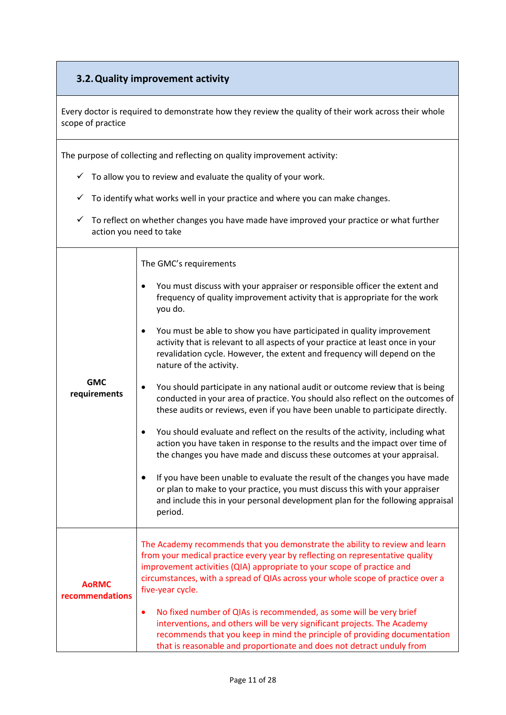### **3.2.Quality improvement activity**

Every doctor is required to demonstrate how they review the quality of their work across their whole scope of practice

The purpose of collecting and reflecting on quality improvement activity:

- $\checkmark$  To allow you to review and evaluate the quality of your work.
- $\checkmark$  To identify what works well in your practice and where you can make changes.
- $\checkmark$  To reflect on whether changes you have made have improved your practice or what further action you need to take

The GMC's requirements

**AoRMC recommendations**

- You must discuss with your appraiser or responsible officer the extent and frequency of quality improvement activity that is appropriate for the work you do.
- You must be able to show you have participated in quality improvement activity that is relevant to all aspects of your practice at least once in your revalidation cycle. However, the extent and frequency will depend on the nature of the activity.
- **GMC requirements** You should participate in any national audit or outcome review that is being conducted in your area of practice. You should also reflect on the outcomes of these audits or reviews, even if you have been unable to participate directly.
	- You should evaluate and reflect on the results of the activity, including what action you have taken in response to the results and the impact over time of the changes you have made and discuss these outcomes at your appraisal.
	- If you have been unable to evaluate the result of the changes you have made or plan to make to your practice, you must discuss this with your appraiser and include this in your personal development plan for the following appraisal period.

The Academy recommends that you demonstrate the ability to review and learn from your medical practice every year by reflecting on representative quality improvement activities (QIA) appropriate to your scope of practice and circumstances, with a spread of QIAs across your whole scope of practice over a five-year cycle.

 No fixed number of QIAs is recommended, as some will be very brief interventions, and others will be very significant projects. The Academy recommends that you keep in mind the principle of providing documentation that is reasonable and proportionate and does not detract unduly from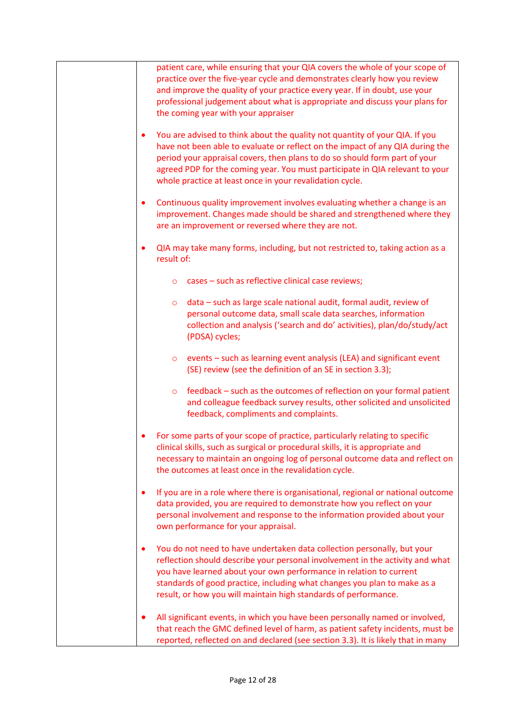| patient care, while ensuring that your QIA covers the whole of your scope of<br>practice over the five-year cycle and demonstrates clearly how you review<br>and improve the quality of your practice every year. If in doubt, use your<br>professional judgement about what is appropriate and discuss your plans for<br>the coming year with your appraiser                               |
|---------------------------------------------------------------------------------------------------------------------------------------------------------------------------------------------------------------------------------------------------------------------------------------------------------------------------------------------------------------------------------------------|
| You are advised to think about the quality not quantity of your QIA. If you<br>٠<br>have not been able to evaluate or reflect on the impact of any QIA during the<br>period your appraisal covers, then plans to do so should form part of your<br>agreed PDP for the coming year. You must participate in QIA relevant to your<br>whole practice at least once in your revalidation cycle. |
| Continuous quality improvement involves evaluating whether a change is an<br>٠<br>improvement. Changes made should be shared and strengthened where they<br>are an improvement or reversed where they are not.                                                                                                                                                                              |
| QIA may take many forms, including, but not restricted to, taking action as a<br>$\bullet$<br>result of:                                                                                                                                                                                                                                                                                    |
| cases - such as reflective clinical case reviews;<br>$\circ$                                                                                                                                                                                                                                                                                                                                |
| data - such as large scale national audit, formal audit, review of<br>O<br>personal outcome data, small scale data searches, information<br>collection and analysis ('search and do' activities), plan/do/study/act<br>(PDSA) cycles;                                                                                                                                                       |
| events - such as learning event analysis (LEA) and significant event<br>$\circ$<br>(SE) review (see the definition of an SE in section 3.3);                                                                                                                                                                                                                                                |
| feedback – such as the outcomes of reflection on your formal patient<br>$\circ$<br>and colleague feedback survey results, other solicited and unsolicited<br>feedback, compliments and complaints.                                                                                                                                                                                          |
| For some parts of your scope of practice, particularly relating to specific<br>clinical skills, such as surgical or procedural skills, it is appropriate and<br>necessary to maintain an ongoing log of personal outcome data and reflect on<br>the outcomes at least once in the revalidation cycle.                                                                                       |
| If you are in a role where there is organisational, regional or national outcome<br>٠<br>data provided, you are required to demonstrate how you reflect on your<br>personal involvement and response to the information provided about your<br>own performance for your appraisal.                                                                                                          |
| You do not need to have undertaken data collection personally, but your<br>٠<br>reflection should describe your personal involvement in the activity and what<br>you have learned about your own performance in relation to current<br>standards of good practice, including what changes you plan to make as a<br>result, or how you will maintain high standards of performance.          |
| All significant events, in which you have been personally named or involved,<br>that reach the GMC defined level of harm, as patient safety incidents, must be<br>reported, reflected on and declared (see section 3.3). It is likely that in many                                                                                                                                          |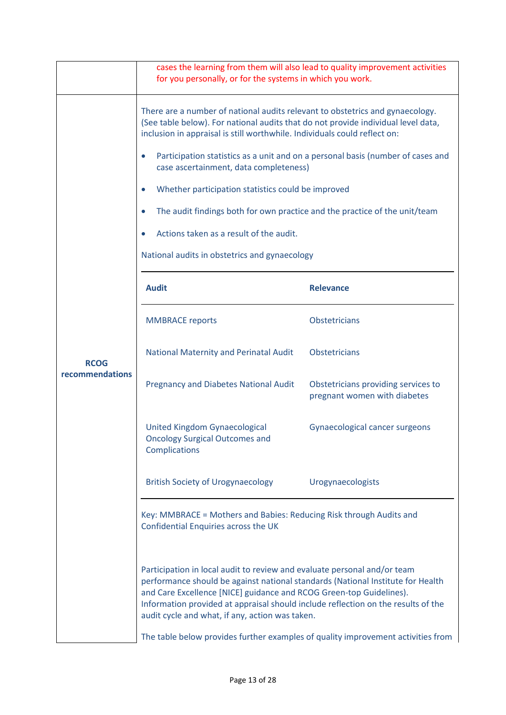|                 | cases the learning from them will also lead to quality improvement activities<br>for you personally, or for the systems in which you work.                                                                                                                                                                                                                                                                                                                     |                                                                     |  |  |  |
|-----------------|----------------------------------------------------------------------------------------------------------------------------------------------------------------------------------------------------------------------------------------------------------------------------------------------------------------------------------------------------------------------------------------------------------------------------------------------------------------|---------------------------------------------------------------------|--|--|--|
|                 |                                                                                                                                                                                                                                                                                                                                                                                                                                                                |                                                                     |  |  |  |
|                 | There are a number of national audits relevant to obstetrics and gynaecology.<br>(See table below). For national audits that do not provide individual level data,<br>inclusion in appraisal is still worthwhile. Individuals could reflect on:                                                                                                                                                                                                                |                                                                     |  |  |  |
|                 | Participation statistics as a unit and on a personal basis (number of cases and<br>$\bullet$<br>case ascertainment, data completeness)                                                                                                                                                                                                                                                                                                                         |                                                                     |  |  |  |
|                 | Whether participation statistics could be improved<br>$\bullet$                                                                                                                                                                                                                                                                                                                                                                                                |                                                                     |  |  |  |
|                 | The audit findings both for own practice and the practice of the unit/team                                                                                                                                                                                                                                                                                                                                                                                     |                                                                     |  |  |  |
|                 | Actions taken as a result of the audit.                                                                                                                                                                                                                                                                                                                                                                                                                        |                                                                     |  |  |  |
|                 | National audits in obstetrics and gynaecology                                                                                                                                                                                                                                                                                                                                                                                                                  |                                                                     |  |  |  |
|                 | <b>Audit</b>                                                                                                                                                                                                                                                                                                                                                                                                                                                   | <b>Relevance</b>                                                    |  |  |  |
|                 | <b>MMBRACE reports</b>                                                                                                                                                                                                                                                                                                                                                                                                                                         | <b>Obstetricians</b>                                                |  |  |  |
| <b>RCOG</b>     | National Maternity and Perinatal Audit                                                                                                                                                                                                                                                                                                                                                                                                                         | <b>Obstetricians</b>                                                |  |  |  |
| recommendations | Pregnancy and Diabetes National Audit                                                                                                                                                                                                                                                                                                                                                                                                                          | Obstetricians providing services to<br>pregnant women with diabetes |  |  |  |
|                 | United Kingdom Gynaecological<br><b>Oncology Surgical Outcomes and</b><br><b>Complications</b>                                                                                                                                                                                                                                                                                                                                                                 | Gynaecological cancer surgeons                                      |  |  |  |
|                 | <b>British Society of Urogynaecology</b>                                                                                                                                                                                                                                                                                                                                                                                                                       | Urogynaecologists                                                   |  |  |  |
|                 | Key: MMBRACE = Mothers and Babies: Reducing Risk through Audits and<br>Confidential Enquiries across the UK                                                                                                                                                                                                                                                                                                                                                    |                                                                     |  |  |  |
|                 | Participation in local audit to review and evaluate personal and/or team<br>performance should be against national standards (National Institute for Health<br>and Care Excellence [NICE] guidance and RCOG Green-top Guidelines).<br>Information provided at appraisal should include reflection on the results of the<br>audit cycle and what, if any, action was taken.<br>The table below provides further examples of quality improvement activities from |                                                                     |  |  |  |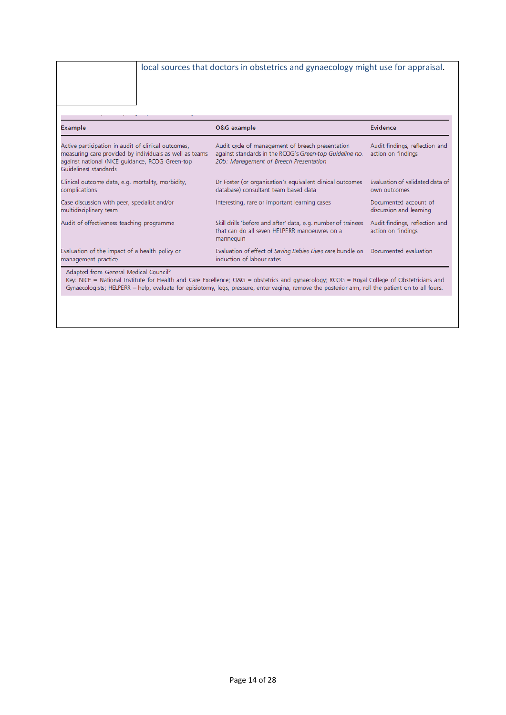#### local sources that doctors in obstetrics and gynaecology might use for appraisal.

|         |  | ۰ |  |
|---------|--|---|--|
| Example |  |   |  |

| Example                                                                                                                                                                                                | <b>O&amp;G</b> example                                                                                                                                | <b>Evidence</b>                                      |  |
|--------------------------------------------------------------------------------------------------------------------------------------------------------------------------------------------------------|-------------------------------------------------------------------------------------------------------------------------------------------------------|------------------------------------------------------|--|
| Active participation in audit of clinical outcomes.<br>measuring care provided by individuals as well as teams<br>against national (NICE guidance, RCOG Green-top<br>Guidelines) standards             | Audit cycle of management of breech presentation<br>against standards in the RCOG's Green-top Guideline no.<br>20b: Management of Breech Presentation | Audit findings, reflection and<br>action on findings |  |
| Clinical outcome data, e.g. mortality, morbidity,<br>complications                                                                                                                                     | Dr Foster (or organisation's equivalent clinical outcomes<br>database) consultant team based data                                                     | Evaluation of validated data of<br>own outcomes      |  |
| Case discussion with peer, specialist and/or<br>multidisciplinary team                                                                                                                                 | Interesting, rare or important learning cases                                                                                                         | Documented account of<br>discussion and learning     |  |
| Audit of effectiveness teaching programme                                                                                                                                                              | Skill drills 'before and after' data, e.g. number of trainees<br>that can do all seven HELPERR manoeuvres on a<br>mannequin                           | Audit findings, reflection and<br>action on findings |  |
| Evaluation of the impact of a health policy or<br>management practice                                                                                                                                  | Evaluation of effect of Saving Babies Lives care bundle on<br>induction of labour rates                                                               | Documented evaluation                                |  |
| Adapted from General Medical Council <sup>5</sup><br>Kar NICE = National Institute for Health and Care Evrellence: $\Omega$ 8G = obstetrics and gynaecology: RCOG = Royal College of Obstetricians and |                                                                                                                                                       |                                                      |  |

<span id="page-13-0"></span>Key: NICE = National Institute for Health and Care Excellence; O&G = obstetrics and gynaecology; RCOG = Royal College of Obstetricians and<br>Gynaecologists; HELPERR = help, evaluate for episiotomy, legs, pressure, enter vagi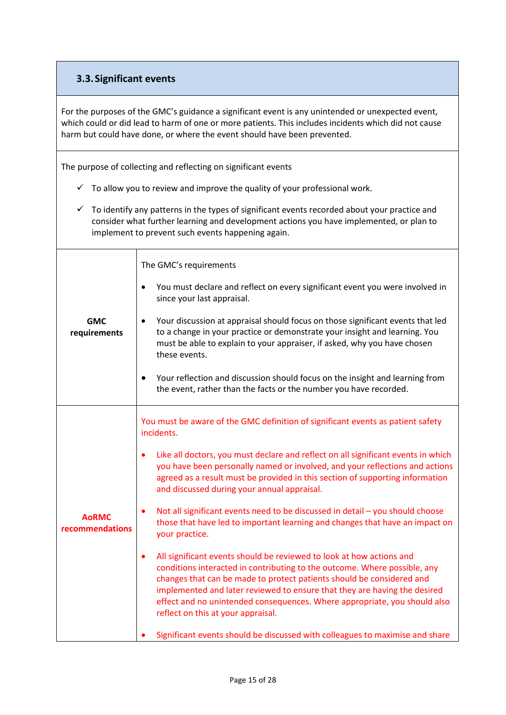### **3.3.Significant events**

For the purposes of the GMC's guidance a significant event is any unintended or unexpected event, which could or did lead to harm of one or more patients. This includes incidents which did not cause harm but could have done, or where the event should have been prevented.

The purpose of collecting and reflecting on significant events

- $\checkmark$  To allow you to review and improve the quality of your professional work.
- $\checkmark$  To identify any patterns in the types of significant events recorded about your practice and consider what further learning and development actions you have implemented, or plan to implement to prevent such events happening again.

**GMC requirements** The GMC's requirements You must declare and reflect on every significant event you were involved in since your last appraisal. Your discussion at appraisal should focus on those significant events that led to a change in your practice or demonstrate your insight and learning. You must be able to explain to your appraiser, if asked, why you have chosen these events. Your reflection and discussion should focus on the insight and learning from the event, rather than the facts or the number you have recorded. **AoRMC recommendations** You must be aware of the GMC definition of significant events as patient safety incidents. Like all doctors, you must declare and reflect on all significant events in which you have been personally named or involved, and your reflections and actions agreed as a result must be provided in this section of supporting information and discussed during your annual appraisal. Not all significant events need to be discussed in detail – you should choose those that have led to important learning and changes that have an impact on your practice. All significant events should be reviewed to look at how actions and conditions interacted in contributing to the outcome. Where possible, any changes that can be made to protect patients should be considered and implemented and later reviewed to ensure that they are having the desired effect and no unintended consequences. Where appropriate, you should also reflect on this at your appraisal. Significant events should be discussed with colleagues to maximise and share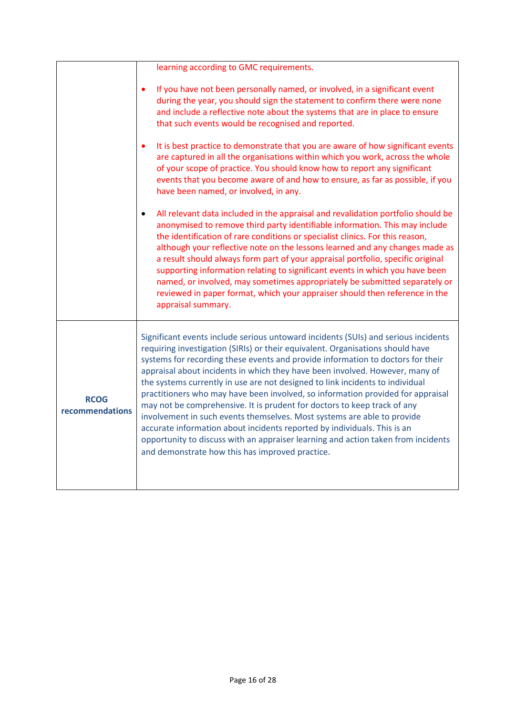| learning according to GMC requirements.                                                                                                                                                                                                                                                                                                                                                                                                                                                                                                                                                                                                                                                                                                                                                                                                                                                |
|----------------------------------------------------------------------------------------------------------------------------------------------------------------------------------------------------------------------------------------------------------------------------------------------------------------------------------------------------------------------------------------------------------------------------------------------------------------------------------------------------------------------------------------------------------------------------------------------------------------------------------------------------------------------------------------------------------------------------------------------------------------------------------------------------------------------------------------------------------------------------------------|
| If you have not been personally named, or involved, in a significant event                                                                                                                                                                                                                                                                                                                                                                                                                                                                                                                                                                                                                                                                                                                                                                                                             |
| during the year, you should sign the statement to confirm there were none<br>and include a reflective note about the systems that are in place to ensure<br>that such events would be recognised and reported.                                                                                                                                                                                                                                                                                                                                                                                                                                                                                                                                                                                                                                                                         |
| It is best practice to demonstrate that you are aware of how significant events<br>are captured in all the organisations within which you work, across the whole<br>of your scope of practice. You should know how to report any significant<br>events that you become aware of and how to ensure, as far as possible, if you<br>have been named, or involved, in any.                                                                                                                                                                                                                                                                                                                                                                                                                                                                                                                 |
| All relevant data included in the appraisal and revalidation portfolio should be<br>anonymised to remove third party identifiable information. This may include<br>the identification of rare conditions or specialist clinics. For this reason,<br>although your reflective note on the lessons learned and any changes made as<br>a result should always form part of your appraisal portfolio, specific original<br>supporting information relating to significant events in which you have been<br>named, or involved, may sometimes appropriately be submitted separately or<br>reviewed in paper format, which your appraiser should then reference in the<br>appraisal summary.                                                                                                                                                                                                 |
| Significant events include serious untoward incidents (SUIs) and serious incidents<br>requiring investigation (SIRIs) or their equivalent. Organisations should have<br>systems for recording these events and provide information to doctors for their<br>appraisal about incidents in which they have been involved. However, many of<br>the systems currently in use are not designed to link incidents to individual<br>practitioners who may have been involved, so information provided for appraisal<br>may not be comprehensive. It is prudent for doctors to keep track of any<br>involvement in such events themselves. Most systems are able to provide<br>accurate information about incidents reported by individuals. This is an<br>opportunity to discuss with an appraiser learning and action taken from incidents<br>and demonstrate how this has improved practice. |
|                                                                                                                                                                                                                                                                                                                                                                                                                                                                                                                                                                                                                                                                                                                                                                                                                                                                                        |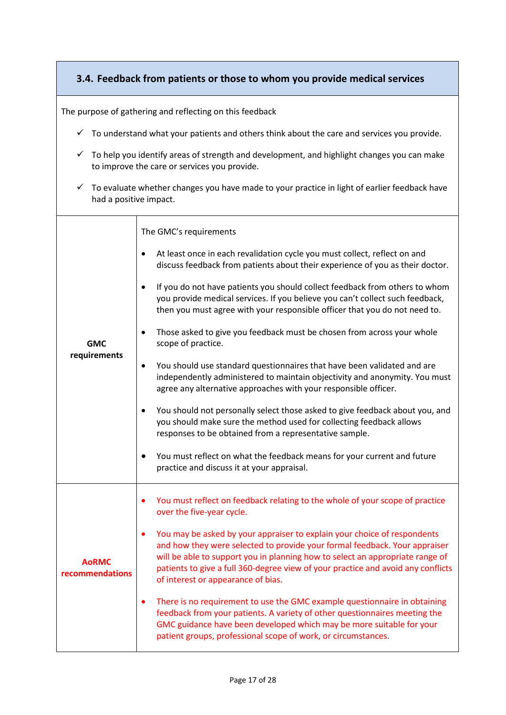### <span id="page-16-0"></span>**3.4. Feedback from patients or those to whom you provide medical services**

The purpose of gathering and reflecting on this feedback

- $\checkmark$  To understand what your patients and others think about the care and services you provide.
- $\checkmark$  To help you identify areas of strength and development, and highlight changes you can make to improve the care or services you provide.
- $\checkmark$  To evaluate whether changes you have made to your practice in light of earlier feedback have had a positive impact.

| <b>GMC</b><br>requirements      | The GMC's requirements<br>At least once in each revalidation cycle you must collect, reflect on and<br>$\bullet$<br>discuss feedback from patients about their experience of you as their doctor.<br>If you do not have patients you should collect feedback from others to whom<br>$\bullet$<br>you provide medical services. If you believe you can't collect such feedback,<br>then you must agree with your responsible officer that you do not need to.<br>Those asked to give you feedback must be chosen from across your whole<br>$\bullet$<br>scope of practice.<br>You should use standard questionnaires that have been validated and are<br>$\bullet$<br>independently administered to maintain objectivity and anonymity. You must<br>agree any alternative approaches with your responsible officer.<br>You should not personally select those asked to give feedback about you, and<br>$\bullet$<br>you should make sure the method used for collecting feedback allows<br>responses to be obtained from a representative sample.<br>You must reflect on what the feedback means for your current and future<br>$\bullet$<br>practice and discuss it at your appraisal. |
|---------------------------------|----------------------------------------------------------------------------------------------------------------------------------------------------------------------------------------------------------------------------------------------------------------------------------------------------------------------------------------------------------------------------------------------------------------------------------------------------------------------------------------------------------------------------------------------------------------------------------------------------------------------------------------------------------------------------------------------------------------------------------------------------------------------------------------------------------------------------------------------------------------------------------------------------------------------------------------------------------------------------------------------------------------------------------------------------------------------------------------------------------------------------------------------------------------------------------------|
| <b>AoRMC</b><br>recommendations | You must reflect on feedback relating to the whole of your scope of practice<br>over the five-year cycle.<br>You may be asked by your appraiser to explain your choice of respondents<br>and how they were selected to provide your formal feedback. Your appraiser<br>will be able to support you in planning how to select an appropriate range of<br>patients to give a full 360-degree view of your practice and avoid any conflicts<br>of interest or appearance of bias.<br>There is no requirement to use the GMC example questionnaire in obtaining<br>٠<br>feedback from your patients. A variety of other questionnaires meeting the<br>GMC guidance have been developed which may be more suitable for your<br>patient groups, professional scope of work, or circumstances.                                                                                                                                                                                                                                                                                                                                                                                                |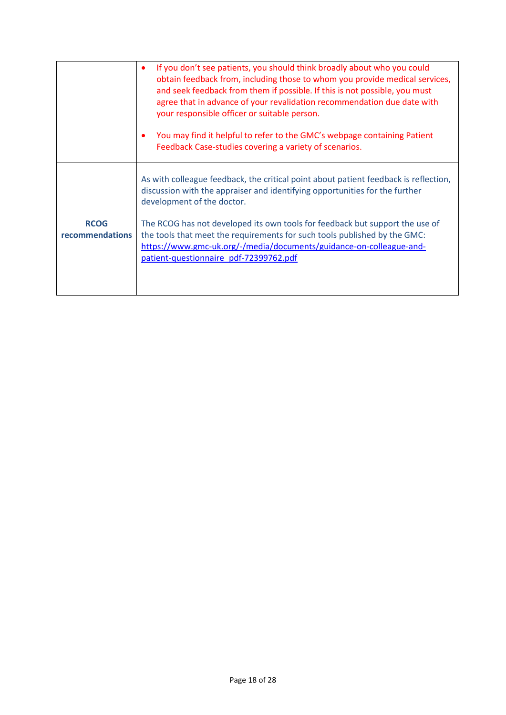<span id="page-17-0"></span>

|                                | If you don't see patients, you should think broadly about who you could<br>٠<br>obtain feedback from, including those to whom you provide medical services,<br>and seek feedback from them if possible. If this is not possible, you must<br>agree that in advance of your revalidation recommendation due date with<br>your responsible officer or suitable person.<br>You may find it helpful to refer to the GMC's webpage containing Patient<br>$\bullet$<br>Feedback Case-studies covering a variety of scenarios. |
|--------------------------------|-------------------------------------------------------------------------------------------------------------------------------------------------------------------------------------------------------------------------------------------------------------------------------------------------------------------------------------------------------------------------------------------------------------------------------------------------------------------------------------------------------------------------|
| <b>RCOG</b><br>recommendations | As with colleague feedback, the critical point about patient feedback is reflection,<br>discussion with the appraiser and identifying opportunities for the further<br>development of the doctor.<br>The RCOG has not developed its own tools for feedback but support the use of<br>the tools that meet the requirements for such tools published by the GMC:<br>https://www.gmc-uk.org/-/media/documents/guidance-on-colleague-and-<br>patient-questionnaire pdf-72399762.pdf                                         |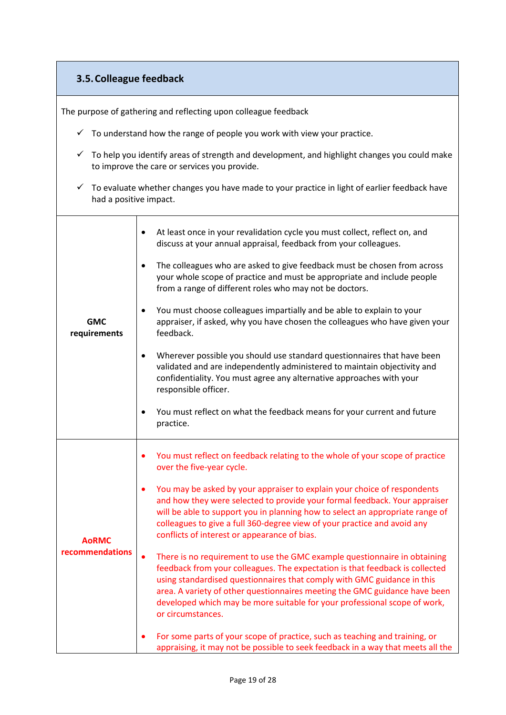### **3.5.Colleague feedback**

The purpose of gathering and reflecting upon colleague feedback

- $\checkmark$  To understand how the range of people you work with view your practice.
- $\checkmark$  To help you identify areas of strength and development, and highlight changes you could make to improve the care or services you provide.
- $\checkmark$  To evaluate whether changes you have made to your practice in light of earlier feedback have had a positive impact.

| <b>GMC</b><br>requirements      | At least once in your revalidation cycle you must collect, reflect on, and<br>٠<br>discuss at your annual appraisal, feedback from your colleagues.                                                                                                                                                                                                                                                                               |
|---------------------------------|-----------------------------------------------------------------------------------------------------------------------------------------------------------------------------------------------------------------------------------------------------------------------------------------------------------------------------------------------------------------------------------------------------------------------------------|
|                                 | The colleagues who are asked to give feedback must be chosen from across<br>$\bullet$<br>your whole scope of practice and must be appropriate and include people<br>from a range of different roles who may not be doctors.                                                                                                                                                                                                       |
|                                 | You must choose colleagues impartially and be able to explain to your<br>$\bullet$<br>appraiser, if asked, why you have chosen the colleagues who have given your<br>feedback.                                                                                                                                                                                                                                                    |
|                                 | Wherever possible you should use standard questionnaires that have been<br>$\bullet$<br>validated and are independently administered to maintain objectivity and<br>confidentiality. You must agree any alternative approaches with your<br>responsible officer.                                                                                                                                                                  |
|                                 | You must reflect on what the feedback means for your current and future<br>$\bullet$<br>practice.                                                                                                                                                                                                                                                                                                                                 |
| <b>AoRMC</b><br>recommendations | You must reflect on feedback relating to the whole of your scope of practice<br>٠<br>over the five-year cycle.                                                                                                                                                                                                                                                                                                                    |
|                                 | You may be asked by your appraiser to explain your choice of respondents<br>$\bullet$<br>and how they were selected to provide your formal feedback. Your appraiser<br>will be able to support you in planning how to select an appropriate range of<br>colleagues to give a full 360-degree view of your practice and avoid any<br>conflicts of interest or appearance of bias.                                                  |
|                                 | There is no requirement to use the GMC example questionnaire in obtaining<br>$\bullet$<br>feedback from your colleagues. The expectation is that feedback is collected<br>using standardised questionnaires that comply with GMC guidance in this<br>area. A variety of other questionnaires meeting the GMC guidance have been<br>developed which may be more suitable for your professional scope of work,<br>or circumstances. |
|                                 | For some parts of your scope of practice, such as teaching and training, or<br>$\bullet$<br>appraising, it may not be possible to seek feedback in a way that meets all the                                                                                                                                                                                                                                                       |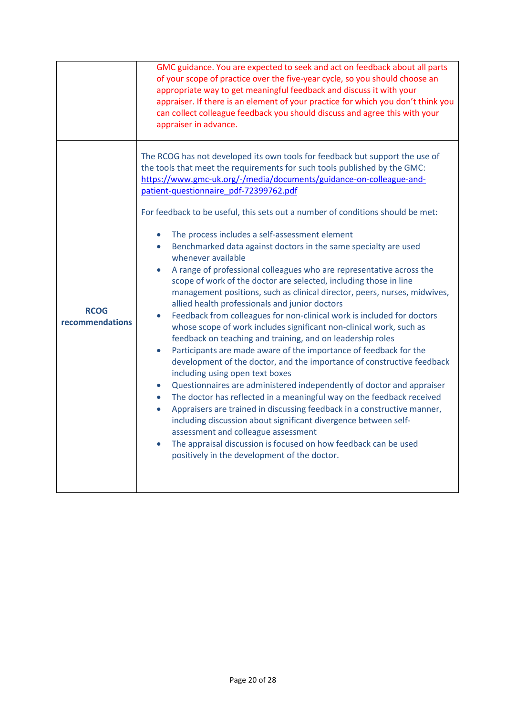<span id="page-19-0"></span>

|                                | GMC guidance. You are expected to seek and act on feedback about all parts<br>of your scope of practice over the five-year cycle, so you should choose an<br>appropriate way to get meaningful feedback and discuss it with your<br>appraiser. If there is an element of your practice for which you don't think you<br>can collect colleague feedback you should discuss and agree this with your<br>appraiser in advance.                                                                                                                                                                                                                                                                                                                                                                                                                                                                                                                                                                                                                                                                                                                                                                                                                                                                                                                                                                                                                                                                                                                                                                                                                                                                                     |
|--------------------------------|-----------------------------------------------------------------------------------------------------------------------------------------------------------------------------------------------------------------------------------------------------------------------------------------------------------------------------------------------------------------------------------------------------------------------------------------------------------------------------------------------------------------------------------------------------------------------------------------------------------------------------------------------------------------------------------------------------------------------------------------------------------------------------------------------------------------------------------------------------------------------------------------------------------------------------------------------------------------------------------------------------------------------------------------------------------------------------------------------------------------------------------------------------------------------------------------------------------------------------------------------------------------------------------------------------------------------------------------------------------------------------------------------------------------------------------------------------------------------------------------------------------------------------------------------------------------------------------------------------------------------------------------------------------------------------------------------------------------|
| <b>RCOG</b><br>recommendations | The RCOG has not developed its own tools for feedback but support the use of<br>the tools that meet the requirements for such tools published by the GMC:<br>https://www.gmc-uk.org/-/media/documents/guidance-on-colleague-and-<br>patient-questionnaire pdf-72399762.pdf<br>For feedback to be useful, this sets out a number of conditions should be met:<br>The process includes a self-assessment element<br>$\bullet$<br>Benchmarked data against doctors in the same specialty are used<br>$\bullet$<br>whenever available<br>A range of professional colleagues who are representative across the<br>scope of work of the doctor are selected, including those in line<br>management positions, such as clinical director, peers, nurses, midwives,<br>allied health professionals and junior doctors<br>Feedback from colleagues for non-clinical work is included for doctors<br>$\bullet$<br>whose scope of work includes significant non-clinical work, such as<br>feedback on teaching and training, and on leadership roles<br>Participants are made aware of the importance of feedback for the<br>development of the doctor, and the importance of constructive feedback<br>including using open text boxes<br>Questionnaires are administered independently of doctor and appraiser<br>The doctor has reflected in a meaningful way on the feedback received<br>$\bullet$<br>Appraisers are trained in discussing feedback in a constructive manner,<br>$\bullet$<br>including discussion about significant divergence between self-<br>assessment and colleague assessment<br>The appraisal discussion is focused on how feedback can be used<br>positively in the development of the doctor. |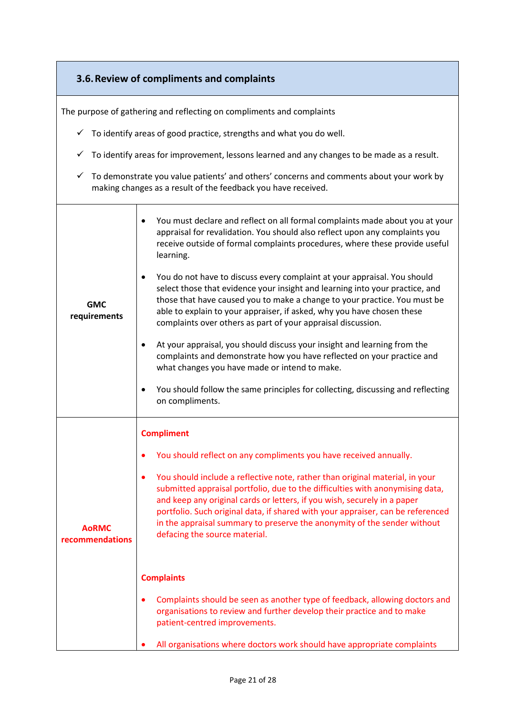|                                 | 3.6. Review of compliments and complaints                                                                                                                                                                                                                                                                                                                                                                                                                                                                                                                                                                                                                                                                                                                                                                                                                                                                                                                                                                   |
|---------------------------------|-------------------------------------------------------------------------------------------------------------------------------------------------------------------------------------------------------------------------------------------------------------------------------------------------------------------------------------------------------------------------------------------------------------------------------------------------------------------------------------------------------------------------------------------------------------------------------------------------------------------------------------------------------------------------------------------------------------------------------------------------------------------------------------------------------------------------------------------------------------------------------------------------------------------------------------------------------------------------------------------------------------|
|                                 | The purpose of gathering and reflecting on compliments and complaints                                                                                                                                                                                                                                                                                                                                                                                                                                                                                                                                                                                                                                                                                                                                                                                                                                                                                                                                       |
| ✓                               | To identify areas of good practice, strengths and what you do well.                                                                                                                                                                                                                                                                                                                                                                                                                                                                                                                                                                                                                                                                                                                                                                                                                                                                                                                                         |
| ✓                               | To identify areas for improvement, lessons learned and any changes to be made as a result.                                                                                                                                                                                                                                                                                                                                                                                                                                                                                                                                                                                                                                                                                                                                                                                                                                                                                                                  |
| ✓                               | To demonstrate you value patients' and others' concerns and comments about your work by<br>making changes as a result of the feedback you have received.                                                                                                                                                                                                                                                                                                                                                                                                                                                                                                                                                                                                                                                                                                                                                                                                                                                    |
| <b>GMC</b><br>requirements      | You must declare and reflect on all formal complaints made about you at your<br>$\bullet$<br>appraisal for revalidation. You should also reflect upon any complaints you<br>receive outside of formal complaints procedures, where these provide useful<br>learning.<br>You do not have to discuss every complaint at your appraisal. You should<br>$\bullet$<br>select those that evidence your insight and learning into your practice, and<br>those that have caused you to make a change to your practice. You must be<br>able to explain to your appraiser, if asked, why you have chosen these<br>complaints over others as part of your appraisal discussion.<br>At your appraisal, you should discuss your insight and learning from the<br>$\bullet$<br>complaints and demonstrate how you have reflected on your practice and<br>what changes you have made or intend to make.<br>You should follow the same principles for collecting, discussing and reflecting<br>$\bullet$<br>on compliments. |
| <b>AoRMC</b><br>recommendations | <b>Compliment</b><br>You should reflect on any compliments you have received annually.<br>You should include a reflective note, rather than original material, in your<br>٠<br>submitted appraisal portfolio, due to the difficulties with anonymising data,<br>and keep any original cards or letters, if you wish, securely in a paper<br>portfolio. Such original data, if shared with your appraiser, can be referenced<br>in the appraisal summary to preserve the anonymity of the sender without<br>defacing the source material.<br><b>Complaints</b><br>Complaints should be seen as another type of feedback, allowing doctors and<br>$\bullet$<br>organisations to review and further develop their practice and to make<br>patient-centred improvements.<br>All organisations where doctors work should have appropriate complaints                                                                                                                                                             |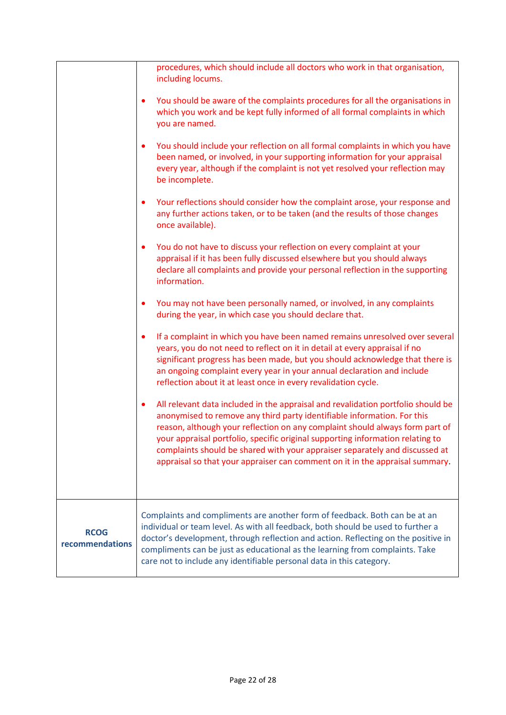<span id="page-21-0"></span>

|                                | procedures, which should include all doctors who work in that organisation,<br>including locums.                                                                                                                                                                                                                                                                                                                                                                                                          |
|--------------------------------|-----------------------------------------------------------------------------------------------------------------------------------------------------------------------------------------------------------------------------------------------------------------------------------------------------------------------------------------------------------------------------------------------------------------------------------------------------------------------------------------------------------|
|                                | You should be aware of the complaints procedures for all the organisations in<br>$\bullet$<br>which you work and be kept fully informed of all formal complaints in which<br>you are named.                                                                                                                                                                                                                                                                                                               |
|                                | You should include your reflection on all formal complaints in which you have<br>$\bullet$<br>been named, or involved, in your supporting information for your appraisal<br>every year, although if the complaint is not yet resolved your reflection may<br>be incomplete.                                                                                                                                                                                                                               |
|                                | Your reflections should consider how the complaint arose, your response and<br>٠<br>any further actions taken, or to be taken (and the results of those changes<br>once available).                                                                                                                                                                                                                                                                                                                       |
|                                | You do not have to discuss your reflection on every complaint at your<br>$\bullet$<br>appraisal if it has been fully discussed elsewhere but you should always<br>declare all complaints and provide your personal reflection in the supporting<br>information.                                                                                                                                                                                                                                           |
|                                | You may not have been personally named, or involved, in any complaints<br>٠<br>during the year, in which case you should declare that.                                                                                                                                                                                                                                                                                                                                                                    |
|                                | If a complaint in which you have been named remains unresolved over several<br>$\bullet$<br>years, you do not need to reflect on it in detail at every appraisal if no<br>significant progress has been made, but you should acknowledge that there is<br>an ongoing complaint every year in your annual declaration and include<br>reflection about it at least once in every revalidation cycle.                                                                                                        |
|                                | All relevant data included in the appraisal and revalidation portfolio should be<br>$\bullet$<br>anonymised to remove any third party identifiable information. For this<br>reason, although your reflection on any complaint should always form part of<br>your appraisal portfolio, specific original supporting information relating to<br>complaints should be shared with your appraiser separately and discussed at<br>appraisal so that your appraiser can comment on it in the appraisal summary. |
| <b>RCOG</b><br>recommendations | Complaints and compliments are another form of feedback. Both can be at an<br>individual or team level. As with all feedback, both should be used to further a<br>doctor's development, through reflection and action. Reflecting on the positive in<br>compliments can be just as educational as the learning from complaints. Take<br>care not to include any identifiable personal data in this category.                                                                                              |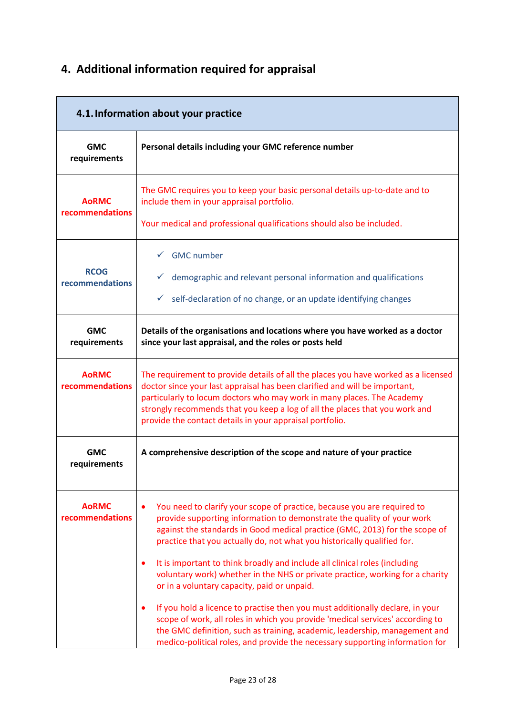# **4. Additional information required for appraisal**

<span id="page-22-0"></span>

| 4.1. Information about your practice |                                                                                                                                                                                                                                                                                                                                                                                                                                                                                                                                                                                                                                                                                                                                                                                                                                                                          |
|--------------------------------------|--------------------------------------------------------------------------------------------------------------------------------------------------------------------------------------------------------------------------------------------------------------------------------------------------------------------------------------------------------------------------------------------------------------------------------------------------------------------------------------------------------------------------------------------------------------------------------------------------------------------------------------------------------------------------------------------------------------------------------------------------------------------------------------------------------------------------------------------------------------------------|
| <b>GMC</b><br>requirements           | Personal details including your GMC reference number                                                                                                                                                                                                                                                                                                                                                                                                                                                                                                                                                                                                                                                                                                                                                                                                                     |
| <b>AoRMC</b><br>recommendations      | The GMC requires you to keep your basic personal details up-to-date and to<br>include them in your appraisal portfolio.<br>Your medical and professional qualifications should also be included.                                                                                                                                                                                                                                                                                                                                                                                                                                                                                                                                                                                                                                                                         |
| <b>RCOG</b><br>recommendations       | $\checkmark$ GMC number<br>demographic and relevant personal information and qualifications<br>✓<br>self-declaration of no change, or an update identifying changes                                                                                                                                                                                                                                                                                                                                                                                                                                                                                                                                                                                                                                                                                                      |
| <b>GMC</b><br>requirements           | Details of the organisations and locations where you have worked as a doctor<br>since your last appraisal, and the roles or posts held                                                                                                                                                                                                                                                                                                                                                                                                                                                                                                                                                                                                                                                                                                                                   |
| <b>AoRMC</b><br>recommendations      | The requirement to provide details of all the places you have worked as a licensed<br>doctor since your last appraisal has been clarified and will be important,<br>particularly to locum doctors who may work in many places. The Academy<br>strongly recommends that you keep a log of all the places that you work and<br>provide the contact details in your appraisal portfolio.                                                                                                                                                                                                                                                                                                                                                                                                                                                                                    |
| <b>GMC</b><br>requirements           | A comprehensive description of the scope and nature of your practice                                                                                                                                                                                                                                                                                                                                                                                                                                                                                                                                                                                                                                                                                                                                                                                                     |
| <b>AoRMC</b><br>recommendations      | You need to clarify your scope of practice, because you are required to<br>٠<br>provide supporting information to demonstrate the quality of your work<br>against the standards in Good medical practice (GMC, 2013) for the scope of<br>practice that you actually do, not what you historically qualified for.<br>It is important to think broadly and include all clinical roles (including<br>٠<br>voluntary work) whether in the NHS or private practice, working for a charity<br>or in a voluntary capacity, paid or unpaid.<br>If you hold a licence to practise then you must additionally declare, in your<br>٠<br>scope of work, all roles in which you provide 'medical services' according to<br>the GMC definition, such as training, academic, leadership, management and<br>medico-political roles, and provide the necessary supporting information for |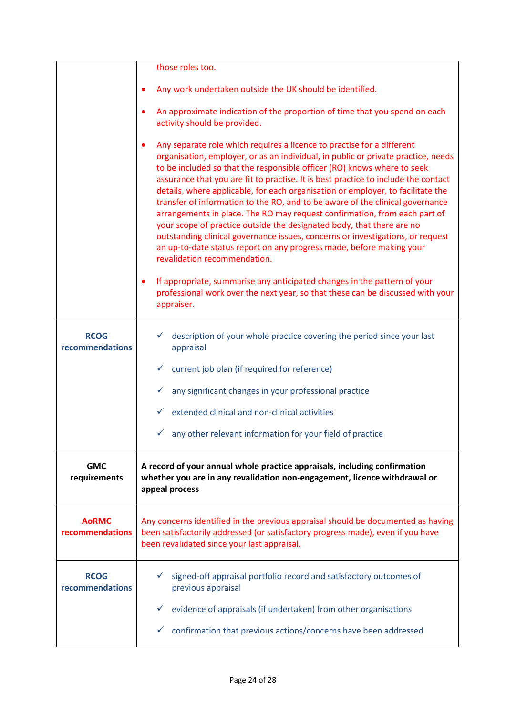|                                 | those roles too.                                                                                                                                                                                                                                                                                                                                                                                                                                                                                                                                                                                                                                                                                                                                                                                                                                                                                                                                       |
|---------------------------------|--------------------------------------------------------------------------------------------------------------------------------------------------------------------------------------------------------------------------------------------------------------------------------------------------------------------------------------------------------------------------------------------------------------------------------------------------------------------------------------------------------------------------------------------------------------------------------------------------------------------------------------------------------------------------------------------------------------------------------------------------------------------------------------------------------------------------------------------------------------------------------------------------------------------------------------------------------|
|                                 | Any work undertaken outside the UK should be identified.                                                                                                                                                                                                                                                                                                                                                                                                                                                                                                                                                                                                                                                                                                                                                                                                                                                                                               |
|                                 | An approximate indication of the proportion of time that you spend on each<br>$\bullet$<br>activity should be provided.                                                                                                                                                                                                                                                                                                                                                                                                                                                                                                                                                                                                                                                                                                                                                                                                                                |
|                                 | Any separate role which requires a licence to practise for a different<br>$\bullet$<br>organisation, employer, or as an individual, in public or private practice, needs<br>to be included so that the responsible officer (RO) knows where to seek<br>assurance that you are fit to practise. It is best practice to include the contact<br>details, where applicable, for each organisation or employer, to facilitate the<br>transfer of information to the RO, and to be aware of the clinical governance<br>arrangements in place. The RO may request confirmation, from each part of<br>your scope of practice outside the designated body, that there are no<br>outstanding clinical governance issues, concerns or investigations, or request<br>an up-to-date status report on any progress made, before making your<br>revalidation recommendation.<br>If appropriate, summarise any anticipated changes in the pattern of your<br>$\bullet$ |
|                                 | professional work over the next year, so that these can be discussed with your<br>appraiser.                                                                                                                                                                                                                                                                                                                                                                                                                                                                                                                                                                                                                                                                                                                                                                                                                                                           |
| <b>RCOG</b><br>recommendations  | description of your whole practice covering the period since your last<br>✓<br>appraisal                                                                                                                                                                                                                                                                                                                                                                                                                                                                                                                                                                                                                                                                                                                                                                                                                                                               |
|                                 | $\checkmark$ current job plan (if required for reference)                                                                                                                                                                                                                                                                                                                                                                                                                                                                                                                                                                                                                                                                                                                                                                                                                                                                                              |
|                                 | any significant changes in your professional practice<br>$\checkmark$                                                                                                                                                                                                                                                                                                                                                                                                                                                                                                                                                                                                                                                                                                                                                                                                                                                                                  |
|                                 | extended clinical and non-clinical activities                                                                                                                                                                                                                                                                                                                                                                                                                                                                                                                                                                                                                                                                                                                                                                                                                                                                                                          |
|                                 | any other relevant information for your field of practice<br>✓                                                                                                                                                                                                                                                                                                                                                                                                                                                                                                                                                                                                                                                                                                                                                                                                                                                                                         |
| <b>GMC</b><br>requirements      | A record of your annual whole practice appraisals, including confirmation<br>whether you are in any revalidation non-engagement, licence withdrawal or<br>appeal process                                                                                                                                                                                                                                                                                                                                                                                                                                                                                                                                                                                                                                                                                                                                                                               |
| <b>AoRMC</b><br>recommendations | Any concerns identified in the previous appraisal should be documented as having<br>been satisfactorily addressed (or satisfactory progress made), even if you have<br>been revalidated since your last appraisal.                                                                                                                                                                                                                                                                                                                                                                                                                                                                                                                                                                                                                                                                                                                                     |
| <b>RCOG</b><br>recommendations  | signed-off appraisal portfolio record and satisfactory outcomes of<br>previous appraisal                                                                                                                                                                                                                                                                                                                                                                                                                                                                                                                                                                                                                                                                                                                                                                                                                                                               |
|                                 | evidence of appraisals (if undertaken) from other organisations<br>✓                                                                                                                                                                                                                                                                                                                                                                                                                                                                                                                                                                                                                                                                                                                                                                                                                                                                                   |
|                                 | confirmation that previous actions/concerns have been addressed<br>✓                                                                                                                                                                                                                                                                                                                                                                                                                                                                                                                                                                                                                                                                                                                                                                                                                                                                                   |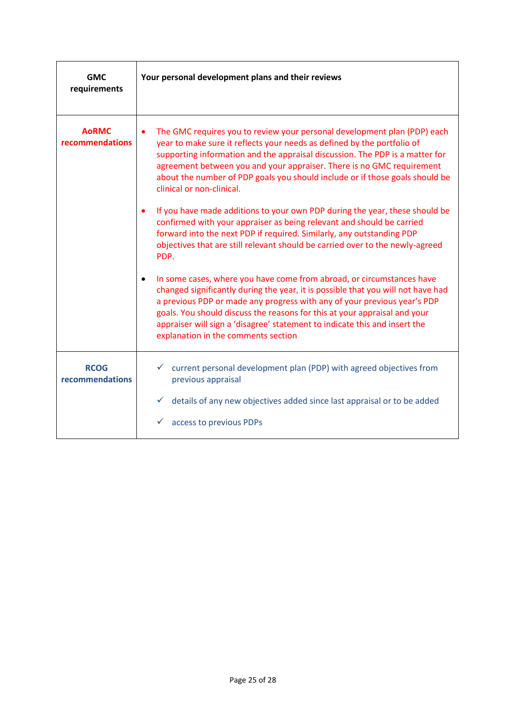<span id="page-24-0"></span>

| <b>GMC</b><br>requirements      | Your personal development plans and their reviews                                                                                                                                                                                                                                                                                                                                                                                            |
|---------------------------------|----------------------------------------------------------------------------------------------------------------------------------------------------------------------------------------------------------------------------------------------------------------------------------------------------------------------------------------------------------------------------------------------------------------------------------------------|
| <b>AoRMC</b><br>recommendations | The GMC requires you to review your personal development plan (PDP) each<br>$\bullet$<br>year to make sure it reflects your needs as defined by the portfolio of<br>supporting information and the appraisal discussion. The PDP is a matter for<br>agreement between you and your appraiser. There is no GMC requirement<br>about the number of PDP goals you should include or if those goals should be<br>clinical or non-clinical.       |
|                                 | If you have made additions to your own PDP during the year, these should be<br>$\bullet$<br>confirmed with your appraiser as being relevant and should be carried<br>forward into the next PDP if required. Similarly, any outstanding PDP<br>objectives that are still relevant should be carried over to the newly-agreed<br>PDP.                                                                                                          |
|                                 | In some cases, where you have come from abroad, or circumstances have<br>٠<br>changed significantly during the year, it is possible that you will not have had<br>a previous PDP or made any progress with any of your previous year's PDP<br>goals. You should discuss the reasons for this at your appraisal and your<br>appraiser will sign a 'disagree' statement to indicate this and insert the<br>explanation in the comments section |
| <b>RCOG</b><br>recommendations  | current personal development plan (PDP) with agreed objectives from<br>previous appraisal                                                                                                                                                                                                                                                                                                                                                    |
|                                 | details of any new objectives added since last appraisal or to be added<br>$\checkmark$<br>access to previous PDPs                                                                                                                                                                                                                                                                                                                           |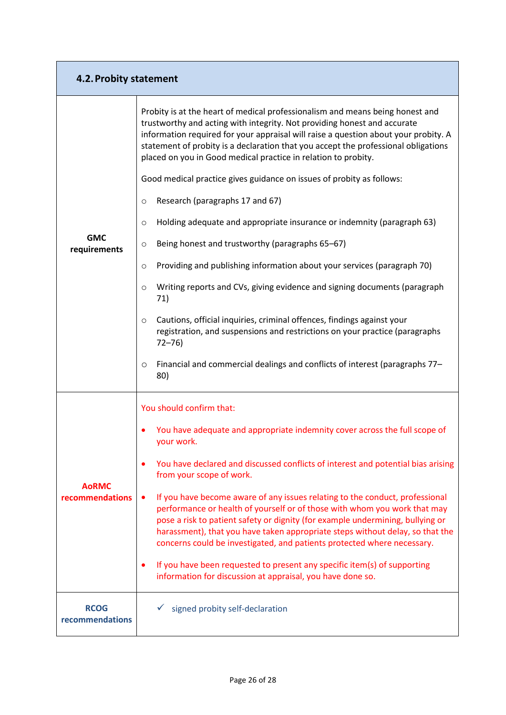<span id="page-25-0"></span>

| 4.2. Probity statement          |                                                                                                                                                                                                                                                                                                                                                                                                              |
|---------------------------------|--------------------------------------------------------------------------------------------------------------------------------------------------------------------------------------------------------------------------------------------------------------------------------------------------------------------------------------------------------------------------------------------------------------|
|                                 | Probity is at the heart of medical professionalism and means being honest and<br>trustworthy and acting with integrity. Not providing honest and accurate<br>information required for your appraisal will raise a question about your probity. A<br>statement of probity is a declaration that you accept the professional obligations<br>placed on you in Good medical practice in relation to probity.     |
|                                 | Good medical practice gives guidance on issues of probity as follows:                                                                                                                                                                                                                                                                                                                                        |
|                                 | Research (paragraphs 17 and 67)<br>$\circ$                                                                                                                                                                                                                                                                                                                                                                   |
|                                 | Holding adequate and appropriate insurance or indemnity (paragraph 63)<br>$\circ$                                                                                                                                                                                                                                                                                                                            |
| <b>GMC</b><br>requirements      | Being honest and trustworthy (paragraphs 65-67)<br>O                                                                                                                                                                                                                                                                                                                                                         |
|                                 | Providing and publishing information about your services (paragraph 70)<br>$\circ$                                                                                                                                                                                                                                                                                                                           |
|                                 | Writing reports and CVs, giving evidence and signing documents (paragraph<br>$\circ$<br>71)                                                                                                                                                                                                                                                                                                                  |
|                                 | Cautions, official inquiries, criminal offences, findings against your<br>O<br>registration, and suspensions and restrictions on your practice (paragraphs<br>$72 - 76$                                                                                                                                                                                                                                      |
|                                 | Financial and commercial dealings and conflicts of interest (paragraphs 77-<br>$\circ$<br>80)                                                                                                                                                                                                                                                                                                                |
|                                 | You should confirm that:                                                                                                                                                                                                                                                                                                                                                                                     |
|                                 | You have adequate and appropriate indemnity cover across the full scope of<br>your work.                                                                                                                                                                                                                                                                                                                     |
|                                 | You have declared and discussed conflicts of interest and potential bias arising<br>from your scope of work.                                                                                                                                                                                                                                                                                                 |
| <b>AoRMC</b><br>recommendations | If you have become aware of any issues relating to the conduct, professional<br>٠<br>performance or health of yourself or of those with whom you work that may<br>pose a risk to patient safety or dignity (for example undermining, bullying or<br>harassment), that you have taken appropriate steps without delay, so that the<br>concerns could be investigated, and patients protected where necessary. |
|                                 | If you have been requested to present any specific item(s) of supporting<br>$\bullet$<br>information for discussion at appraisal, you have done so.                                                                                                                                                                                                                                                          |
| <b>RCOG</b><br>recommendations  | signed probity self-declaration                                                                                                                                                                                                                                                                                                                                                                              |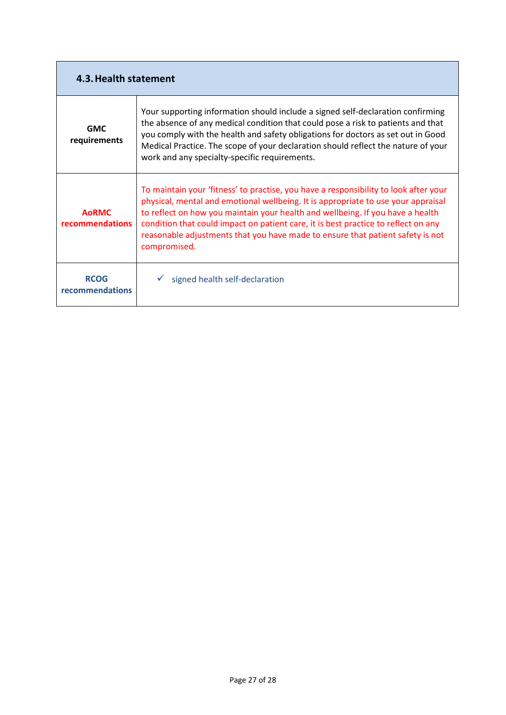| 4.3. Health statement                  |                                                                                                                                                                                                                                                                                                                                                                                                                                                     |
|----------------------------------------|-----------------------------------------------------------------------------------------------------------------------------------------------------------------------------------------------------------------------------------------------------------------------------------------------------------------------------------------------------------------------------------------------------------------------------------------------------|
| <b>GMC</b><br>requirements             | Your supporting information should include a signed self-declaration confirming<br>the absence of any medical condition that could pose a risk to patients and that<br>you comply with the health and safety obligations for doctors as set out in Good<br>Medical Practice. The scope of your declaration should reflect the nature of your<br>work and any specialty-specific requirements.                                                       |
| <b>AoRMC</b><br><b>recommendations</b> | To maintain your 'fitness' to practise, you have a responsibility to look after your<br>physical, mental and emotional wellbeing. It is appropriate to use your appraisal<br>to reflect on how you maintain your health and wellbeing. If you have a health<br>condition that could impact on patient care, it is best practice to reflect on any<br>reasonable adjustments that you have made to ensure that patient safety is not<br>compromised. |
| <b>RCOG</b><br>recommendations         | signed health self-declaration                                                                                                                                                                                                                                                                                                                                                                                                                      |

T

÷